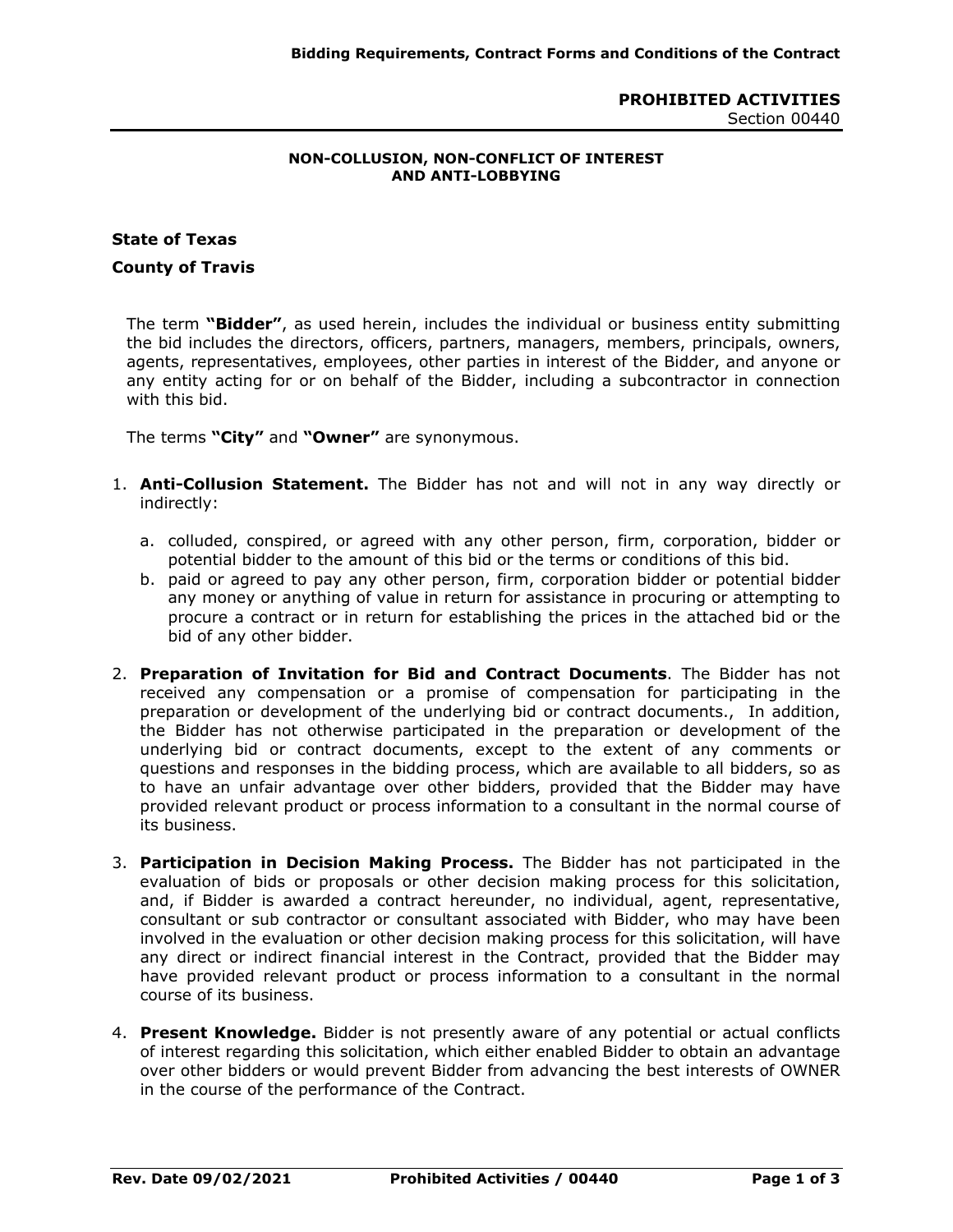## **PROHIBITED ACTIVITIES** Section 00440

## **NON-COLLUSION, NON-CONFLICT OF INTEREST AND ANTI-LOBBYING**

## **State of Texas**

## **County of Travis**

The term **"Bidder"**, as used herein, includes the individual or business entity submitting the bid includes the directors, officers, partners, managers, members, principals, owners, agents, representatives, employees, other parties in interest of the Bidder, and anyone or any entity acting for or on behalf of the Bidder, including a subcontractor in connection with this bid.

The terms **"City"** and **"Owner"** are synonymous.

- 1. **Anti-Collusion Statement.** The Bidder has not and will not in any way directly or indirectly:
	- a. colluded, conspired, or agreed with any other person, firm, corporation, bidder or potential bidder to the amount of this bid or the terms or conditions of this bid.
	- b. paid or agreed to pay any other person, firm, corporation bidder or potential bidder any money or anything of value in return for assistance in procuring or attempting to procure a contract or in return for establishing the prices in the attached bid or the bid of any other bidder.
- 2. **Preparation of Invitation for Bid and Contract Documents**. The Bidder has not received any compensation or a promise of compensation for participating in the preparation or development of the underlying bid or contract documents., In addition, the Bidder has not otherwise participated in the preparation or development of the underlying bid or contract documents, except to the extent of any comments or questions and responses in the bidding process, which are available to all bidders, so as to have an unfair advantage over other bidders, provided that the Bidder may have provided relevant product or process information to a consultant in the normal course of its business.
- 3. **Participation in Decision Making Process.** The Bidder has not participated in the evaluation of bids or proposals or other decision making process for this solicitation, and, if Bidder is awarded a contract hereunder, no individual, agent, representative, consultant or sub contractor or consultant associated with Bidder, who may have been involved in the evaluation or other decision making process for this solicitation, will have any direct or indirect financial interest in the Contract, provided that the Bidder may have provided relevant product or process information to a consultant in the normal course of its business.
- 4. **Present Knowledge.** Bidder is not presently aware of any potential or actual conflicts of interest regarding this solicitation, which either enabled Bidder to obtain an advantage over other bidders or would prevent Bidder from advancing the best interests of OWNER in the course of the performance of the Contract.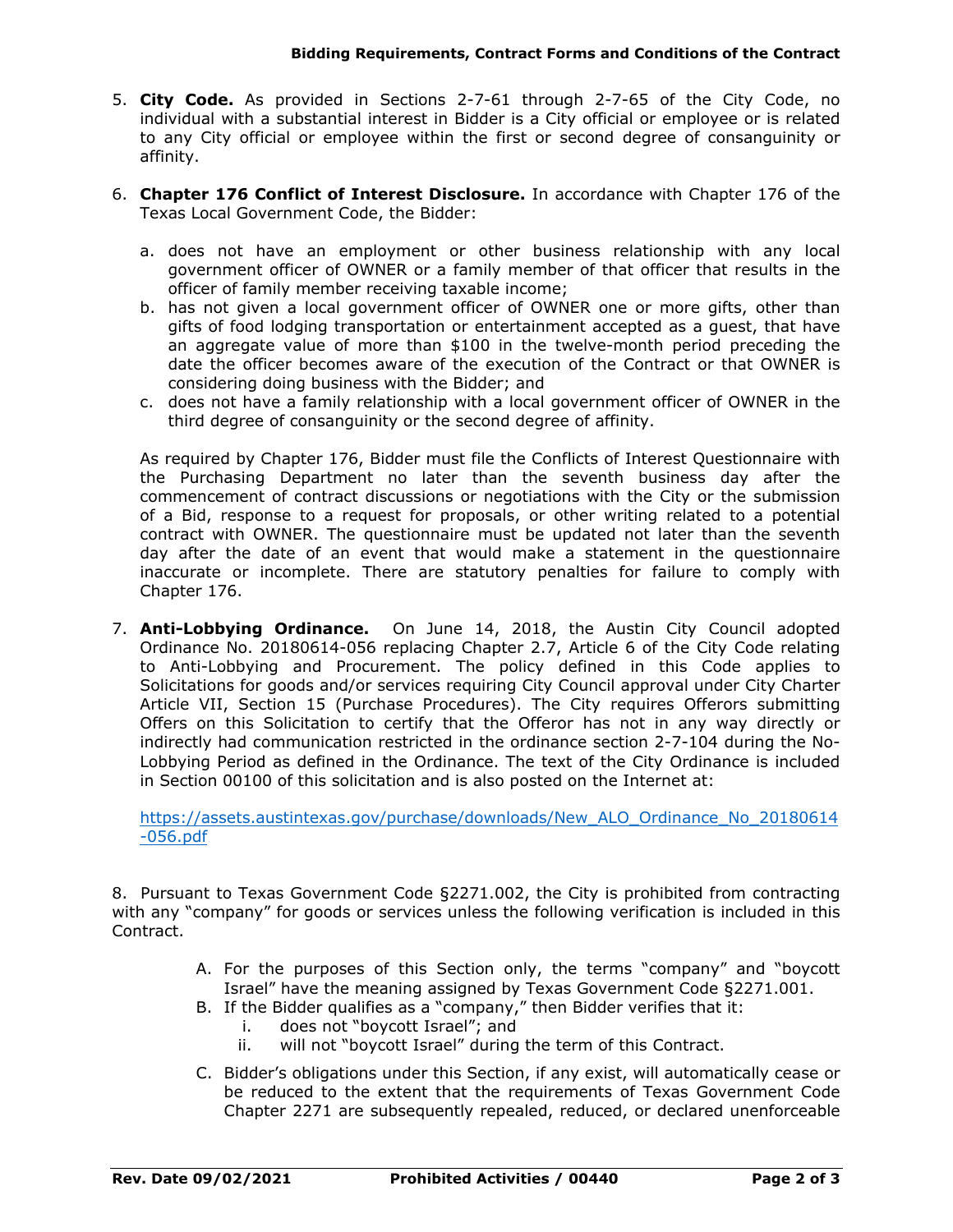- 5. **City Code.** As provided in Sections 2-7-61 through 2-7-65 of the City Code, no individual with a substantial interest in Bidder is a City official or employee or is related to any City official or employee within the first or second degree of consanguinity or affinity.
- 6. **Chapter 176 Conflict of Interest Disclosure.** In accordance with Chapter 176 of the Texas Local Government Code, the Bidder:
	- a. does not have an employment or other business relationship with any local government officer of OWNER or a family member of that officer that results in the officer of family member receiving taxable income;
	- b. has not given a local government officer of OWNER one or more gifts, other than gifts of food lodging transportation or entertainment accepted as a guest, that have an aggregate value of more than \$100 in the twelve-month period preceding the date the officer becomes aware of the execution of the Contract or that OWNER is considering doing business with the Bidder; and
	- c. does not have a family relationship with a local government officer of OWNER in the third degree of consanguinity or the second degree of affinity.

As required by Chapter 176, Bidder must file the Conflicts of Interest Questionnaire with the Purchasing Department no later than the seventh business day after the commencement of contract discussions or negotiations with the City or the submission of a Bid, response to a request for proposals, or other writing related to a potential contract with OWNER. The questionnaire must be updated not later than the seventh day after the date of an event that would make a statement in the questionnaire inaccurate or incomplete. There are statutory penalties for failure to comply with Chapter 176.

7. **Anti-Lobbying Ordinance.** On June 14, 2018, the Austin City Council adopted Ordinance No. 20180614-056 replacing Chapter 2.7, Article 6 of the City Code relating to Anti-Lobbying and Procurement. The policy defined in this Code applies to Solicitations for goods and/or services requiring City Council approval under City Charter Article VII, Section 15 (Purchase Procedures). The City requires Offerors submitting Offers on this Solicitation to certify that the Offeror has not in any way directly or indirectly had communication restricted in the ordinance section 2-7-104 during the No-Lobbying Period as defined in the Ordinance. The text of the City Ordinance is included in Section 00100 of this solicitation and is also posted on the Internet at:

[https://assets.austintexas.gov/purchase/downloads/New\\_ALO\\_Ordinance\\_No\\_20180614](https://assets.austintexas.gov/purchase/downloads/New_ALO_Ordinance_No_20180614-056.pdf) [-056.pdf](https://assets.austintexas.gov/purchase/downloads/New_ALO_Ordinance_No_20180614-056.pdf)

8. Pursuant to Texas Government Code §2271.002, the City is prohibited from contracting with any "company" for goods or services unless the following verification is included in this Contract.

- A. For the purposes of this Section only, the terms "company" and "boycott Israel" have the meaning assigned by Texas Government Code §2271.001.
- B. If the Bidder qualifies as a "company," then Bidder verifies that it:
	- i. does not "boycott Israel"; and
	- ii. will not "boycott Israel" during the term of this Contract.
- C. Bidder's obligations under this Section, if any exist, will automatically cease or be reduced to the extent that the requirements of Texas Government Code Chapter 2271 are subsequently repealed, reduced, or declared unenforceable